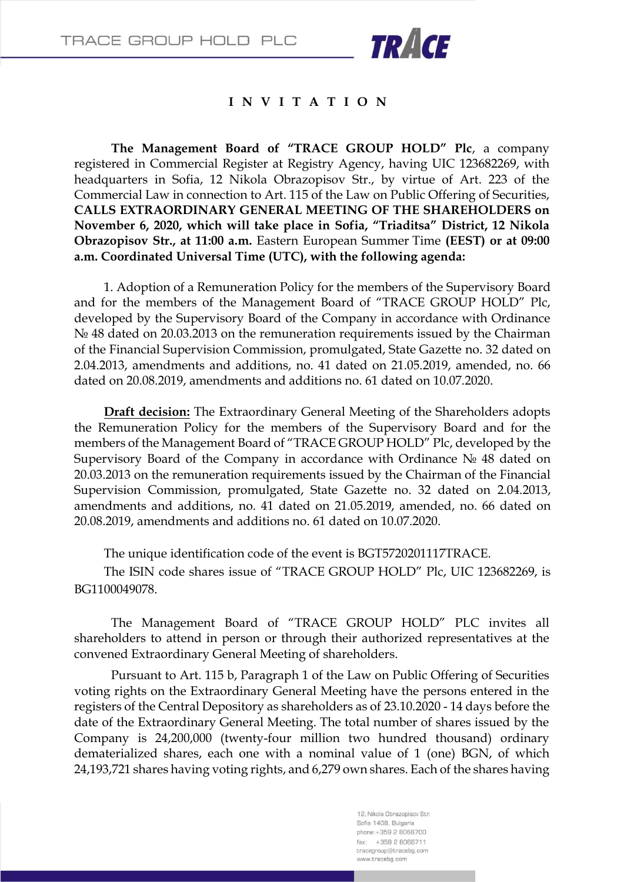

## **I N V I T A T I O N**

**The Management Board of "TRACE GROUP HOLD" Plc**, a company registered in Commercial Register at Registry Agency, having UIC 123682269, with headquarters in Sofia, 12 Nikola Obrazopisov Str., by virtue of Art. 223 of the Commercial Law in connection to Art. 115 of the Law on Public Offering of Securities, **CALLS EXTRAORDINARY GENERAL MEETING OF THE SHAREHOLDERS on November 6, 2020, which will take place in Sofia, "Triaditsa" District, 12 Nikola Obrazopisov Str., at 11:00 a.m.** Eastern European Summer Time **(EEST) or at 09:00 a.m. Coordinated Universal Time (UTC), with the following agenda:**

1. Adoption of a Remuneration Policy for the members of the Supervisory Board and for the members of the Management Board of "TRACE GROUP HOLD" Plc, developed by the Supervisory Board of the Company in accordance with Ordinance № 48 dated on 20.03.2013 on the remuneration requirements issued by the Chairman of the Financial Supervision Commission, promulgated, State Gazette no. 32 dated on 2.04.2013, amendments and additions, no. 41 dated on 21.05.2019, amended, no. 66 dated on 20.08.2019, amendments and additions no. 61 dated on 10.07.2020.

**Draft decision:** The Extraordinary General Meeting of the Shareholders adopts the Remuneration Policy for the members of the Supervisory Board and for the members of the Management Board of "TRACE GROUP HOLD" Plc, developed by the Supervisory Board of the Company in accordance with Ordinance № 48 dated on 20.03.2013 on the remuneration requirements issued by the Chairman of the Financial Supervision Commission, promulgated, State Gazette no. 32 dated on 2.04.2013, amendments and additions, no. 41 dated on 21.05.2019, amended, no. 66 dated on 20.08.2019, amendments and additions no. 61 dated on 10.07.2020.

The unique identification code of the event is BGT5720201117TRACE.

The ISIN code shares issue of "TRACE GROUP HOLD" Plc, UIC 123682269, is BG1100049078.

The Management Board of "TRACE GROUP HOLD" PLC invites all shareholders to attend in person or through their authorized representatives at the convened Extraordinary General Meeting of shareholders.

Pursuant to Art. 115 b, Paragraph 1 of the Law on Public Offering of Securities voting rights on the Extraordinary General Meeting have the persons entered in the registers of the Central Depository as shareholders as of 23.10.2020 - 14 days before the date of the Extraordinary General Meeting. The total number of shares issued by the Company is 24,200,000 (twenty-four million two hundred thousand) ordinary dematerialized shares, each one with a nominal value of 1 (one) BGN, of which 24,193,721 shares having voting rights, and 6,279 own shares. Each of the shares having

> 12, Nikola Obrazopisov Str. Sofia 1408, Bulgaria phone: +359 2 8066700  $fax: +35928066711$ tracegroup@tracebg.com www.tracebg.com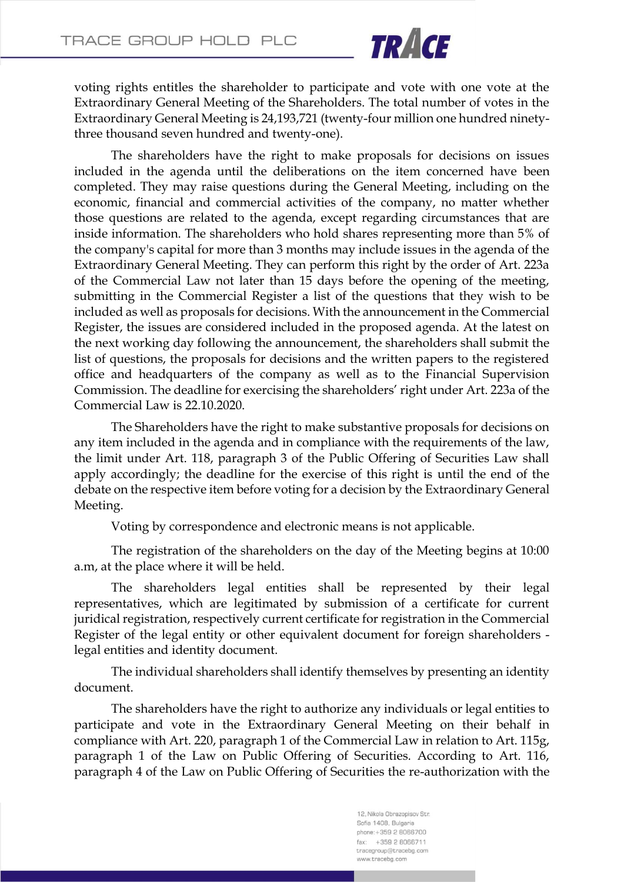

voting rights entitles the shareholder to participate and vote with one vote at the Extraordinary General Meeting of the Shareholders. The total number of votes in the Extraordinary General Meeting is 24,193,721 (twenty-four million one hundred ninetythree thousand seven hundred and twenty-one).

The shareholders have the right to make proposals for decisions on issues included in the agenda until the deliberations on the item concerned have been completed. They may raise questions during the General Meeting, including on the economic, financial and commercial activities of the company, no matter whether those questions are related to the agenda, except regarding circumstances that are inside information. The shareholders who hold shares representing more than 5% of the company's capital for more than 3 months may include issues in the agenda of the Extraordinary General Meeting. They can perform this right by the order of Art. 223a of the Commercial Law not later than 15 days before the opening of the meeting, submitting in the Commercial Register a list of the questions that they wish to be included as well as proposals for decisions. With the announcement in the Commercial Register, the issues are considered included in the proposed agenda. At the latest on the next working day following the announcement, the shareholders shall submit the list of questions, the proposals for decisions and the written papers to the registered office and headquarters of the company as well as to the Financial Supervision Commission. The deadline for exercising the shareholders' right under Art. 223a of the Commercial Law is 22.10.2020.

The Shareholders have the right to make substantive proposals for decisions on any item included in the agenda and in compliance with the requirements of the law, the limit under Art. 118, paragraph 3 of the Public Offering of Securities Law shall apply accordingly; the deadline for the exercise of this right is until the end of the debate on the respective item before voting for a decision by the Extraordinary General Meeting.

Voting by correspondence and electronic means is not applicable.

The registration of the shareholders on the day of the Meeting begins at 10:00 a.m, at the place where it will be held.

The shareholders legal entities shall be represented by their legal representatives, which are legitimated by submission of a certificate for current juridical registration, respectively current certificate for registration in the Commercial Register of the legal entity or other equivalent document for foreign shareholders legal entities and identity document.

The individual shareholders shall identify themselves by presenting an identity document.

The shareholders have the right to authorize any individuals or legal entities to participate and vote in the Extraordinary General Meeting on their behalf in compliance with Art. 220, paragraph 1 of the Commercial Law in relation to Art. 115g, paragraph 1 of the Law on Public Offering of Securities. According to Art. 116, paragraph 4 of the Law on Public Offering of Securities the re-authorization with the

> 12, Nikola Obrazopisov Str. Sofia 1408, Bulgaria phone: +359 2 8066700  $fax: +35928066711$ tracegroup@tracebg.com www.tracebg.com